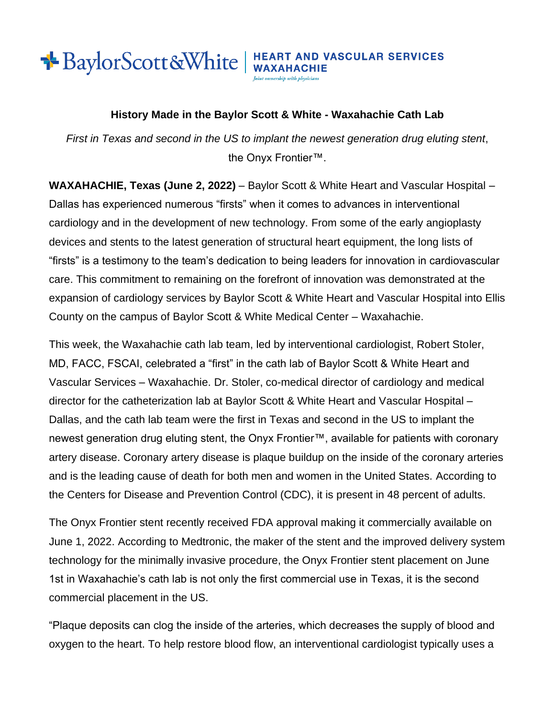## **BaylorScott&White** | HEART AND VASCULAR SERVICES

Joint ownership with physicia

## **History Made in the Baylor Scott & White - Waxahachie Cath Lab**

*First in Texas and second in the US to implant the newest generation drug eluting stent*, the Onyx Frontier™.

**WAXAHACHIE, Texas (June 2, 2022)** – Baylor Scott & White Heart and Vascular Hospital – Dallas has experienced numerous "firsts" when it comes to advances in interventional cardiology and in the development of new technology. From some of the early angioplasty devices and stents to the latest generation of structural heart equipment, the long lists of "firsts" is a testimony to the team's dedication to being leaders for innovation in cardiovascular care. This commitment to remaining on the forefront of innovation was demonstrated at the expansion of cardiology services by Baylor Scott & White Heart and Vascular Hospital into Ellis County on the campus of Baylor Scott & White Medical Center – Waxahachie.

This week, the Waxahachie cath lab team, led by interventional cardiologist, Robert Stoler, MD, FACC, FSCAI, celebrated a "first" in the cath lab of Baylor Scott & White Heart and Vascular Services – Waxahachie. Dr. Stoler, co-medical director of cardiology and medical director for the catheterization lab at Baylor Scott & White Heart and Vascular Hospital – Dallas, and the cath lab team were the first in Texas and second in the US to implant the newest generation drug eluting stent, the Onyx Frontier™, available for patients with coronary artery disease. Coronary artery disease is plaque buildup on the inside of the coronary arteries and is the leading cause of death for both men and women in the United States. According to the Centers for Disease and Prevention Control (CDC), it is present in 48 percent of adults.

The Onyx Frontier stent recently received FDA approval making it commercially available on June 1, 2022. According to Medtronic, the maker of the stent and the improved delivery system technology for the minimally invasive procedure, the Onyx Frontier stent placement on June 1st in Waxahachie's cath lab is not only the first commercial use in Texas, it is the second commercial placement in the US.

"Plaque deposits can clog the inside of the arteries, which decreases the supply of blood and oxygen to the heart. To help restore blood flow, an interventional cardiologist typically uses a